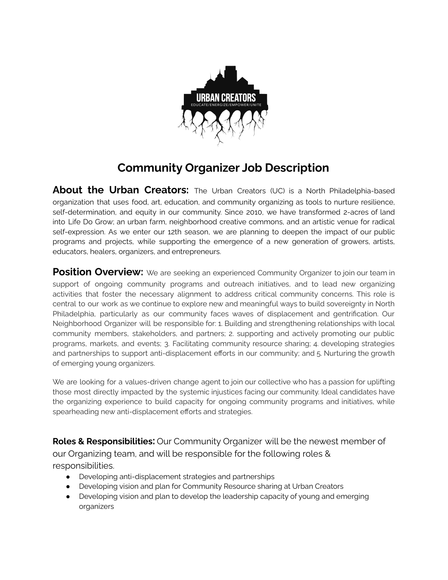

## **Community Organizer Job Description**

**About the Urban Creators:** The Urban Creators (UC) is a North Philadelphia-based organization that uses food, art, education, and community organizing as tools to nurture resilience, self-determination, and equity in our community. Since 2010, we have transformed 2-acres of land into Life Do Grow; an urban farm, neighborhood creative commons, and an artistic venue for radical self-expression. As we enter our 12th season, we are planning to deepen the impact of our public programs and projects, while supporting the emergence of a new generation of growers, artists, educators, healers, organizers, and entrepreneurs.

**Position Overview:** We are seeking an experienced Community Organizer to join our team in support of ongoing community programs and outreach initiatives, and to lead new organizing activities that foster the necessary alignment to address critical community concerns. This role is central to our work as we continue to explore new and meaningful ways to build sovereignty in North Philadelphia, particularly as our community faces waves of displacement and gentrification. Our Neighborhood Organizer will be responsible for: 1. Building and strengthening relationships with local community members, stakeholders, and partners; 2. supporting and actively promoting our public programs, markets, and events; 3. Facilitating community resource sharing; 4. developing strategies and partnerships to support anti-displacement efforts in our community; and 5. Nurturing the growth of emerging young organizers.

We are looking for a values-driven change agent to join our collective who has a passion for uplifting those most directly impacted by the systemic injustices facing our community. Ideal candidates have the organizing experience to build capacity for ongoing community programs and initiatives, while spearheading new anti-displacement efforts and strategies.

**Roles & Responsibilities:** Our Community Organizer will be the newest member of our Organizing team, and will be responsible for the following roles & responsibilities.

- Developing anti-displacement strategies and partnerships
- Developing vision and plan for Community Resource sharing at Urban Creators
- Developing vision and plan to develop the leadership capacity of young and emerging organizers